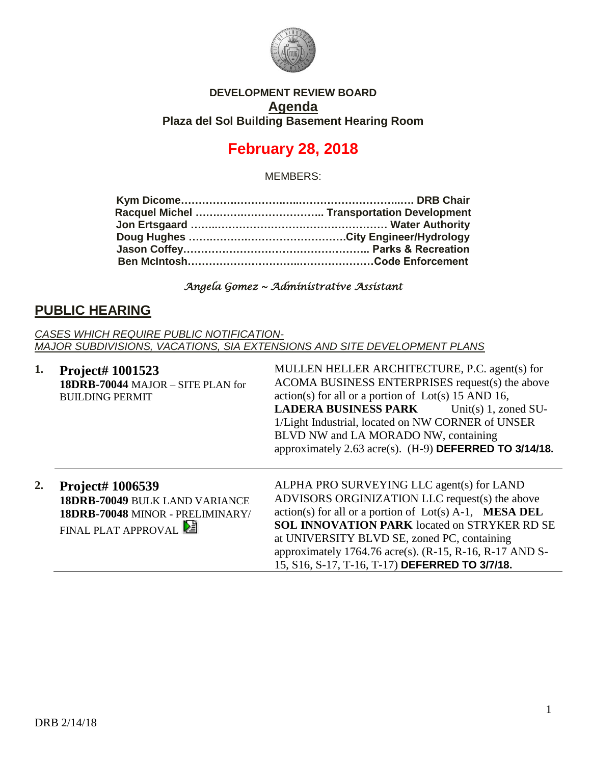

#### **DEVELOPMENT REVIEW BOARD Agenda Plaza del Sol Building Basement Hearing Room**

# **February 28, 2018**

MEMBERS:

#### *Angela Gomez ~ Administrative Assistant*

### **PUBLIC HEARING**

*CASES WHICH REQUIRE PUBLIC NOTIFICATION-MAJOR SUBDIVISIONS, VACATIONS, SIA EXTENSIONS AND SITE DEVELOPMENT PLANS*

| 1. | Project# 1001523<br>18DRB-70044 MAJOR - SITE PLAN for<br><b>BUILDING PERMIT</b>                                      | MULLEN HELLER ARCHITECTURE, P.C. agent(s) for<br>ACOMA BUSINESS ENTERPRISES request(s) the above<br>$action(s)$ for all or a portion of $Lot(s)$ 15 AND 16,<br><b>LADERA BUSINESS PARK</b><br>Unit(s) $1$ , zoned SU-<br>1/Light Industrial, located on NW CORNER of UNSER<br>BLVD NW and LA MORADO NW, containing<br>approximately $2.63$ acre(s). (H-9) DEFERRED TO $3/14/18$ .     |
|----|----------------------------------------------------------------------------------------------------------------------|---------------------------------------------------------------------------------------------------------------------------------------------------------------------------------------------------------------------------------------------------------------------------------------------------------------------------------------------------------------------------------------|
| 2. | <b>Project# 1006539</b><br>18DRB-70049 BULK LAND VARIANCE<br>18DRB-70048 MINOR - PRELIMINARY/<br>FINAL PLAT APPROVAL | ALPHA PRO SURVEYING LLC agent(s) for LAND<br>ADVISORS ORGINIZATION LLC request(s) the above<br>$action(s)$ for all or a portion of $Lot(s)$ A-1, <b>MESA DEL</b><br><b>SOL INNOVATION PARK</b> located on STRYKER RD SE<br>at UNIVERSITY BLVD SE, zoned PC, containing<br>approximately 1764.76 acre(s). $(R-15, R-16, R-17$ AND S-<br>15, S16, S-17, T-16, T-17) DEFERRED TO 3/7/18. |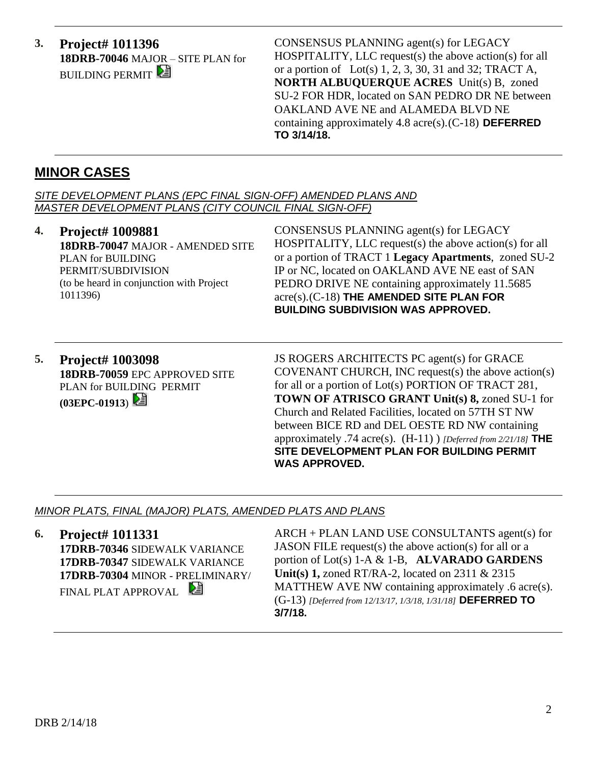**3. Project# 1011396 18DRB-70046** MAJOR – SITE PLAN for **BUILDING PERMIT** 

CONSENSUS PLANNING agent(s) for LEGACY HOSPITALITY, LLC request(s) the above action(s) for all or a portion of Lot(s)  $1, 2, 3, 30, 31$  and  $32$ ; TRACT A, **NORTH ALBUQUERQUE ACRES** Unit(s) B, zoned SU-2 FOR HDR, located on SAN PEDRO DR NE between OAKLAND AVE NE and ALAMEDA BLVD NE containing approximately 4.8 acre(s).(C-18) **DEFERRED TO 3/14/18.**

### **MINOR CASES**

*SITE DEVELOPMENT PLANS (EPC FINAL SIGN-OFF) AMENDED PLANS AND MASTER DEVELOPMENT PLANS (CITY COUNCIL FINAL SIGN-OFF)*

- **4. Project# 1009881 18DRB-70047** MAJOR - AMENDED SITE PLAN for BUILDING PERMIT/SUBDIVISION (to be heard in conjunction with Project 1011396) CONSENSUS PLANNING agent(s) for LEGACY HOSPITALITY, LLC request(s) the above action(s) for all or a portion of TRACT 1 **Legacy Apartments**, zoned SU-2 IP or NC, located on OAKLAND AVE NE east of SAN PEDRO DRIVE NE containing approximately 11.5685 acre(s).(C-18) **THE AMENDED SITE PLAN FOR BUILDING SUBDIVISION WAS APPROVED.**
- **5. Project# 1003098 18DRB-70059** EPC APPROVED SITE PLAN for BUILDING PERMIT **(03EPC-01913**)

JS ROGERS ARCHITECTS PC agent(s) for GRACE COVENANT CHURCH, INC request(s) the above action(s) for all or a portion of Lot(s) PORTION OF TRACT 281, **TOWN OF ATRISCO GRANT Unit(s) 8,** zoned SU-1 for Church and Related Facilities, located on 57TH ST NW between BICE RD and DEL OESTE RD NW containing approximately .74 acre(s). (H-11) ) *[Deferred from 2/21/18]* **THE SITE DEVELOPMENT PLAN FOR BUILDING PERMIT WAS APPROVED.**

#### *MINOR PLATS, FINAL (MAJOR) PLATS, AMENDED PLATS AND PLANS*

**6. Project# 1011331 17DRB-70346** SIDEWALK VARIANCE **17DRB-70347** SIDEWALK VARIANCE **17DRB-70304** MINOR - PRELIMINARY/ FINAL PLAT APPROVAL

ARCH + PLAN LAND USE CONSULTANTS agent(s) for JASON FILE request(s) the above action(s) for all or a portion of Lot(s) 1-A & 1-B, **ALVARADO GARDENS Unit(s) 1,** zoned RT/RA-2, located on 2311 & 2315 MATTHEW AVE NW containing approximately .6 acre(s). (G-13) *[Deferred from 12/13/17, 1/3/18, 1/31/18]* **DEFERRED TO 3/7/18.**